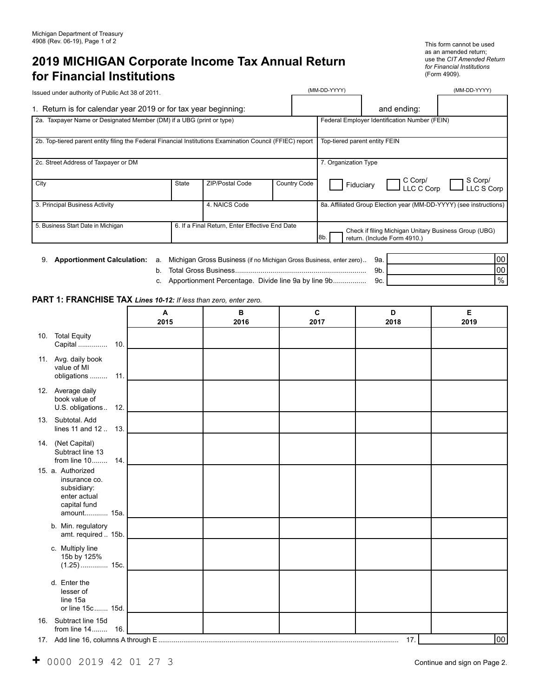# **2019 MICHIGAN Corporate Income Tax Annual Return for Financial Institutions**

This form cannot be used as an amended return; use the *CIT Amended Return for Financial Institutions* 

| .0011<br>: Act 3 $^{\circ}$<br><b>Issued</b><br>` under .<br>of Public<br>authority<br><b>ATZUIL</b><br>. הר | vvvv<br><b>IVI</b> | $\Lambda$<br>/ M / M |
|--------------------------------------------------------------------------------------------------------------|--------------------|----------------------|
|                                                                                                              |                    |                      |

| 1. Return is for calendar year 2019 or for tax year beginning:                                            |       |                                                | and ending:          |                                                                    |                                                                                       |                         |
|-----------------------------------------------------------------------------------------------------------|-------|------------------------------------------------|----------------------|--------------------------------------------------------------------|---------------------------------------------------------------------------------------|-------------------------|
| 2a. Taxpayer Name or Designated Member (DM) if a UBG (print or type)                                      |       | Federal Employer Identification Number (FEIN)  |                      |                                                                    |                                                                                       |                         |
| 2b. Top-tiered parent entity filing the Federal Financial Institutions Examination Council (FFIEC) report |       |                                                |                      | Top-tiered parent entity FEIN                                      |                                                                                       |                         |
| 2c. Street Address of Taxpayer or DM                                                                      |       |                                                | 7. Organization Type |                                                                    |                                                                                       |                         |
| City                                                                                                      | State | ZIP/Postal Code                                | Country Code         |                                                                    | $\Box$ C Corp/<br>$\Box$ LC C Corp<br>Fiduciary                                       | ]S Corp/<br>]LLC S Corp |
| 4. NAICS Code<br>3. Principal Business Activity                                                           |       |                                                |                      | 8a. Affiliated Group Election year (MM-DD-YYYY) (see instructions) |                                                                                       |                         |
| 5. Business Start Date in Michigan                                                                        |       | 6. If a Final Return, Enter Effective End Date |                      | l8b                                                                | Check if filing Michigan Unitary Business Group (UBG)<br>return. (Include Form 4910.) |                         |

9. **Apportionment Calculation:** a. Michigan Gross Business (if no Michigan Gross Business, enter zero).. 9a.

- b. Total Gross Business................................................................... 9b. c. Apportionment Percentage. Divide line 9a by line 9b................. 9c. 00 00 %
- **PART 1: FRANCHISE TAX** *Lines 10-12: If less than zero, enter zero.*

|                                                                                                  | $\mathbf{A}$<br>2015 | B<br>2016 | $\mathbf c$<br>2017 | D<br>2018 | E<br>2019 |
|--------------------------------------------------------------------------------------------------|----------------------|-----------|---------------------|-----------|-----------|
| 10. Total Equity<br>Capital                                                                      | 10.                  |           |                     |           |           |
| 11. Avg. daily book<br>value of MI<br>obligations                                                | 11.                  |           |                     |           |           |
| 12. Average daily<br>book value of<br>U.S. obligations                                           | 12.                  |           |                     |           |           |
| 13. Subtotal Add<br>lines 11 and 12  13.                                                         |                      |           |                     |           |           |
| 14. (Net Capital)<br>Subtract line 13<br>from line 10 14.                                        |                      |           |                     |           |           |
| 15. a. Authorized<br>insurance co.<br>subsidiary:<br>enter actual<br>capital fund<br>amount 15a. |                      |           |                     |           |           |
| b. Min. regulatory<br>amt. required  15b.                                                        |                      |           |                     |           |           |
| c. Multiply line<br>15b by 125%<br>$(1.25)$ 15c.                                                 |                      |           |                     |           |           |
| d. Enter the<br>lesser of<br>line 15a<br>or line 15c  15d.                                       |                      |           |                     |           |           |
| 16. Subtract line 15d<br>from line 14                                                            | 16.                  |           |                     |           |           |
| 17. Add line 16, columns A through E                                                             |                      |           |                     | 17.       | 00        |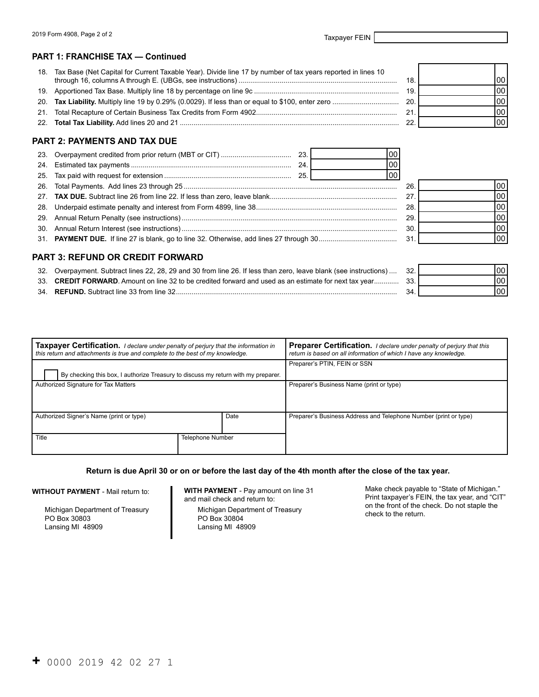#### **PART 1: FRANCHISE TAX — Continued**

| 18. Tax Base (Net Capital for Current Taxable Year). Divide line 17 by number of tax years reported in lines 10 | 18. | 00   |
|-----------------------------------------------------------------------------------------------------------------|-----|------|
|                                                                                                                 | 19  | 00 l |
|                                                                                                                 | 20. | 00   |
|                                                                                                                 | 21. | 00   |
|                                                                                                                 |     | 00   |

## **PART 2: PAYMENTS AND TAX DUE**

| 23. |                                  |    | 00  |     |  |
|-----|----------------------------------|----|-----|-----|--|
|     |                                  | 24 | 00  |     |  |
|     |                                  |    | 100 |     |  |
| 26. |                                  |    |     | 26  |  |
|     |                                  |    |     | 27  |  |
| 28. |                                  |    |     | 28. |  |
|     |                                  |    |     | 29  |  |
|     |                                  |    |     | 30  |  |
|     |                                  |    |     | 31  |  |
|     |                                  |    |     |     |  |
|     | PART 3: REFUND OR CREDIT FORWARD |    |     |     |  |

| 32. Overpayment. Subtract lines 22, 28, 29 and 30 from line 26. If less than zero, leave blank (see instructions)  32. |  |
|------------------------------------------------------------------------------------------------------------------------|--|
| 33. CREDIT FORWARD. Amount on line 32 to be credited forward and used as an estimate for next tax year 33.             |  |
|                                                                                                                        |  |

| 34 | Subtract line 33 from line 32<br>"UND. | ⊀Δ |  |
|----|----------------------------------------|----|--|
|    |                                        |    |  |

| <b>Taxpayer Certification.</b> I declare under penalty of perjury that the information in<br>this return and attachments is true and complete to the best of my knowledge. |                  | <b>Preparer Certification.</b> I declare under penalty of perjury that this<br>return is based on all information of which I have any knowledge. |  |
|----------------------------------------------------------------------------------------------------------------------------------------------------------------------------|------------------|--------------------------------------------------------------------------------------------------------------------------------------------------|--|
|                                                                                                                                                                            |                  | Preparer's PTIN, FEIN or SSN                                                                                                                     |  |
| By checking this box, I authorize Treasury to discuss my return with my preparer.                                                                                          |                  |                                                                                                                                                  |  |
| Authorized Signature for Tax Matters                                                                                                                                       |                  | Preparer's Business Name (print or type)                                                                                                         |  |
| Authorized Signer's Name (print or type)<br>Date                                                                                                                           |                  | Preparer's Business Address and Telephone Number (print or type)                                                                                 |  |
| Title                                                                                                                                                                      | Telephone Number |                                                                                                                                                  |  |

#### **Return is due April 30 or on or before the last day of the 4th month after the close of the tax year.**

**WITHOUT PAYMENT** - Mail return to:

Michigan Department of Treasury PO Box 30803 Lansing MI 48909

Michigan Department of Treasury on the Michigan Department of Treasury check to the return.<br>PO Box 30804 Lansing MI 48909

**WITH PAYMENT** - Pay amount on line 31 Make check payable to "State of Michigan."<br>and mail check and return to: Print taxpayer's FEIN, the tax year, and "CIT Print taxpayer's FEIN, the tax year, and "CIT"<br>on the front of the check. Do not staple the

00 00 00 00

00 00

| 32  |  |
|-----|--|
| 33. |  |
| 34. |  |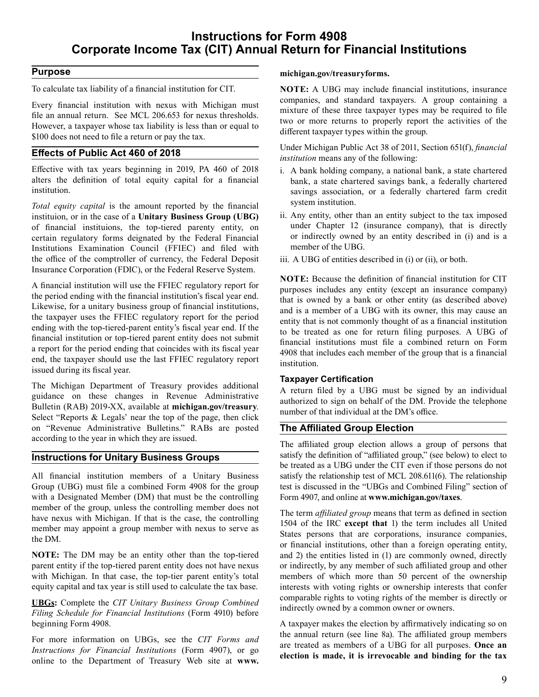## **Instructions for Form 4908 Corporate Income Tax (CIT) Annual Return for Financial Institutions**

## **Purpose**

 To calculate tax liability of a financial institution for CIT.

 Every financial institution with nexus with Michigan must file an annual return. See MCL 206.653 for nexus thresholds. However, a taxpayer whose tax liability is less than or equal to \$100 does not need to file a return or pay the tax.

## **Effects of Public Act 460 of 2018**

 Effective with tax years beginning in 2019, PA 460 of 2018 alters the definition of total equity capital for a financial institution.

 *Total equity capital* is the amount reported by the financial instituion, or in the case of a **Unitary Business Group (UBG)**  of financial instituions, the top-tiered parenty entity, on certain regulatory forms deignated by the Federal Financial Institutions Examination Council (FFIEC) and filed with the office of the comptroller of currency, the Federal Deposit Insurance Corporation (FDIC), or the Federal Reserve System.

 A financial institution will use the FFIEC regulatory report for the period ending with the financial institution's fiscal year end. Likewise, for a unitary business group of financial institutions, the taxpayer uses the FFIEC regulatory report for the period ending with the top-tiered-parent entity's fiscal year end. If the financial institution or top-tiered parent entity does not submit a report for the period ending that coincides with its fiscal year end, the taxpayer should use the last FFIEC regulatory report issued during its fiscal year.

 The Michigan Department of Treasury provides additional guidance on these changes in Revenue Administrative Bulletin (RAB) 2019-XX, available at **[michigan.gov/treasury](https://michigan.gov/treasury)**. Select "Reports & Legals' near the top of the page, then click on "Revenue Administrative Bulletins." RABs are posted according to the year in which they are issued.

#### **Instructions for Unitary Business Groups**

 All financial institution members of a Unitary Business Group (UBG) must file a combined Form 4908 for the group with a Designated Member (DM) that must be the controlling member of the group, unless the controlling member does not have nexus with Michigan. If that is the case, the controlling member may appoint a group member with nexus to serve as the DM.

 **NOTE:** The DM may be an entity other than the top-tiered parent entity if the top-tiered parent entity does not have nexus with Michigan. In that case, the top-tier parent entity's total equity capital and tax year is still used to calculate the tax base.

 **UBGs:** Complete the *CIT Unitary Business Group Combined Filing Schedule for Financial Institutions* (Form 4910) before beginning Form 4908.

 For more information on UBGs, see the *CIT Forms and Instructions for Financial Institutions* (Form 4907), or go online to the Department of Treasury Web site at **www.** 

#### **[michigan.gov/treasuryforms](https://michigan.gov/treasuryforms).**

 **NOTE:** A UBG may include financial institutions, insurance companies, and standard taxpayers. A group containing a mixture of these three taxpayer types may be required to file two or more returns to properly report the activities of the different taxpayer types within the group.

 Under Michigan Public Act 38 of 2011, Section 651(f), *financial institution* means any of the following:

- i. A bank holding company, a national bank, a state chartered bank, a state chartered savings bank, a federally chartered savings association, or a federally chartered farm credit system institution.
- ii. Any entity, other than an entity subject to the tax imposed under Chapter 12 (insurance company), that is directly or indirectly owned by an entity described in (i) and is a member of the UBG.
- iii. A UBG of entities described in (i) or (ii), or both.

 **NOTE:** Because the definition of financial institution for CIT purposes includes any entity (except an insurance company) that is owned by a bank or other entity (as described above) and is a member of a UBG with its owner, this may cause an entity that is not commonly thought of as a financial institution to be treated as one for return filing purposes. A UBG of financial institutions must file a combined return on Form 4908 that includes each member of the group that is a financial institution.

#### **Taxpayer Certification**

 A return filed by a UBG must be signed by an individual authorized to sign on behalf of the DM. Provide the telephone number of that individual at the DM's office.

#### **The Affiliated Group Election**

 The affiliated group election allows a group of persons that satisfy the definition of "affiliated group," (see below) to elect to be treated as a UBG under the CIT even if those persons do not satisfy the relationship test of MCL 208.611(6). The relationship test is discussed in the "UBGs and Combined Filing" section of Form 4907, and online at **<www.michigan.gov/taxes>**.

 The term *affiliated group* means that term as defined in section 1504 of the IRC **except that** 1) the term includes all United States persons that are corporations, insurance companies, or financial institutions, other than a foreign operating entity, and 2) the entities listed in (1) are commonly owned, directly or indirectly, by any member of such affiliated group and other members of which more than 50 percent of the ownership interests with voting rights or ownership interests that confer comparable rights to voting rights of the member is directly or indirectly owned by a common owner or owners.

 A taxpayer makes the election by affirmatively indicating so on the annual return (see line 8a). The affiliated group members are treated as members of a UBG for all purposes. **Once an election is made, it is irrevocable and binding for the tax**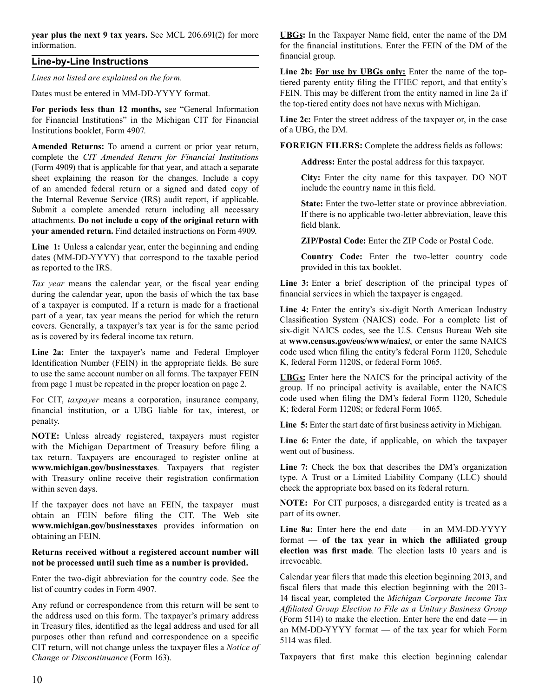**year plus the next 9 tax years.** See MCL 206.691(2) for more information.

## **Line-by-Line Instructions**

*Lines not listed are explained on the form.* 

 Dates must be entered in MM-DD-YYYY format.

 **For periods less than 12 months,** see "General Information for Financial Institutions" in the Michigan CIT for Financial Institutions booklet, Form 4907.

Amended Returns: To amend a current or prior year return, complete the *CIT Amended Return for Financial Institutions*  (Form 4909) that is applicable for that year, and attach a separate sheet explaining the reason for the changes. Include a copy of an amended federal return or a signed and dated copy of the Internal Revenue Service (IRS) audit report, if applicable. Submit a complete amended return including all necessary **your amended return.** Find detailed instructions on Form 4909. attachments. **Do not include a copy of the original return with**

 **Line 1:** Unless a calendar year, enter the beginning and ending dates (MM-DD-YYYY) that correspond to the taxable period as reported to the IRS.

 *Tax year* means the calendar year, or the fiscal year ending during the calendar year, upon the basis of which the tax base of a taxpayer is computed. If a return is made for a fractional part of a year, tax year means the period for which the return covers. Generally, a taxpayer's tax year is for the same period as is covered by its federal income tax return.

 **Line 2a:** Enter the taxpayer's name and Federal Employer Identification Number (FEIN) in the appropriate fields. Be sure to use the same account number on all forms. The taxpayer FEIN from page 1 must be repeated in the proper location on page 2.

 For CIT, *taxpayer* means a corporation, insurance company, financial institution, or a UBG liable for tax, interest, or penalty.

 **NOTE:** Unless already registered, taxpayers must register with the Michigan Department of Treasury before filing a tax return. Taxpayers are encouraged to register online at **<www.michigan.gov/businesstaxes>**. Taxpayers that register with Treasury online receive their registration confirmation within seven days.

If the taxpayer does not have an FEIN, the taxpayer must obtain an FEIN before filing the CIT. The Web site **www.michigan.gov/businesstaxes** provides information on obtaining an FEIN.

#### **Returns received without a registered account number will not be processed until such time as a number is provided.**

 Enter the two-digit abbreviation for the country code. See the list of country codes in Form 4907.

 Any refund or correspondence from this return will be sent to the address used on this form. The taxpayer's primary address in Treasury files, identified as the legal address and used for all purposes other than refund and correspondence on a specific CIT return, will not change unless the taxpayer files a *Notice of Change or Discontinuance* (Form 163).

 **UBGs:** In the Taxpayer Name field, enter the name of the DM for the financial institutions. Enter the FEIN of the DM of the financial group.

Line 2b: For use by UBGs only: Enter the name of the top- tiered parenty entity filing the FFIEC report, and that entity's FEIN. This may be different from the entity named in line 2a if the top-tiered entity does not have nexus with Michigan.

 **Line 2c:** Enter the street address of the taxpayer or, in the case of a UBG, the DM.

 **FOREIGN FILERS:** Complete the address fields as follows:

 **Address:** Enter the postal address for this taxpayer.

 **City:** Enter the city name for this taxpayer. DO NOT include the country name in this field.

 **State:** Enter the two-letter state or province abbreviation. If there is no applicable two-letter abbreviation, leave this field blank.

 **ZIP/Postal Code:** Enter the ZIP Code or Postal Code.

 **Country Code:** Enter the two-letter country code provided in this tax booklet.

 **Line 3:** Enter a brief description of the principal types of financial services in which the taxpayer is engaged.

 **Line 4:** Enter the entity's six-digit North American Industry Classification System (NAICS) code. For a complete list of six-digit NAICS codes, see the U.S. Census Bureau Web site at **<www.census.gov/eos/www/naics>/**, or enter the same NAICS code used when filing the entity's federal Form 1120, Schedule K, federal Form 1120S, or federal Form 1065.

 **UBGs:** Enter here the NAICS for the principal activity of the group. If no principal activity is available, enter the NAICS code used when filing the DM's federal Form 1120, Schedule K; federal Form 1120S; or federal Form 1065.

 **Line 5:** Enter the start date of first business activity in Michigan.

 **Line 6:** Enter the date, if applicable, on which the taxpayer went out of business.

 **Line 7:** Check the box that describes the DM's organization type. A Trust or a Limited Liability Company (LLC) should check the appropriate box based on its federal return.

 **NOTE:** For CIT purposes, a disregarded entity is treated as a part of its owner.

 **Line 8a:** Enter here the end date — in an MM-DD-YYYY format — **of the tax year in which the affiliated group election was first made**. The election lasts 10 years and is irrevocable.

 Calendar year filers that made this election beginning 2013, and fiscal filers that made this election beginning with the 2013- 14 fiscal year, completed the *Michigan Corporate Income Tax*  (Form 5114) to make the election. Enter here the end date — in an MM-DD-YYYY format — of the tax year for which Form 5114 was filed. *Affiliated Group Election to File as a Unitary Business Group*

 Taxpayers that first make this election beginning calendar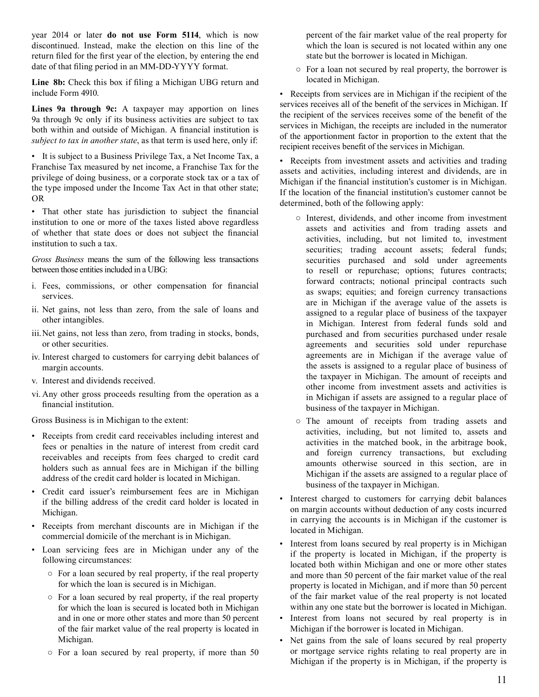year 2014 or later **do not use Form 5114**, which is now discontinued. Instead, make the election on this line of the return filed for the first year of the election, by entering the end date of that filing period in an MM-DD-YYYY format.

 **Line 8b:** Check this box if filing a Michigan UBG return and include Form 4910.

 **Lines 9a through 9c:** A taxpayer may apportion on lines 9a through 9c only if its business activities are subject to tax both within and outside of Michigan. A financial institution is *subject to tax in another state*, as that term is used here, only if:

 • It is subject to a Business Privilege Tax, a Net Income Tax, a Franchise Tax measured by net income, a Franchise Tax for the privilege of doing business, or a corporate stock tax or a tax of the type imposed under the Income Tax Act in that other state; OR

 • That other state has jurisdiction to subject the financial institution to one or more of the taxes listed above regardless of whether that state does or does not subject the financial institution to such a tax.

 *Gross Business* means the sum of the following less transactions between those entities included in a UBG:

- i. Fees, commissions, or other compensation for financial services.
- ii. Net gains, not less than zero, from the sale of loans and other intangibles.
- iii.Net gains, not less than zero, from trading in stocks, bonds, or other securities.
- iv. Interest charged to customers for carrying debit balances of margin accounts.
- v. Interest and dividends received.
- vi. Any other gross proceeds resulting from the operation as a financial institution.

 Gross Business is in Michigan to the extent:

- Receipts from credit card receivables including interest and fees or penalties in the nature of interest from credit card receivables and receipts from fees charged to credit card holders such as annual fees are in Michigan if the billing address of the credit card holder is located in Michigan.
- Credit card issuer's reimbursement fees are in Michigan if the billing address of the credit card holder is located in Michigan.
- Receipts from merchant discounts are in Michigan if the commercial domicile of the merchant is in Michigan.
- Loan servicing fees are in Michigan under any of the following circumstances:
	- For a loan secured by real property, if the real property for which the loan is secured is in Michigan.
	- For a loan secured by real property, if the real property for which the loan is secured is located both in Michigan and in one or more other states and more than 50 percent of the fair market value of the real property is located in Michigan.
	- For a loan secured by real property, if more than 50

 percent of the fair market value of the real property for which the loan is secured is not located within any one state but the borrower is located in Michigan.

 ○ For a loan not secured by real property, the borrower is located in Michigan.

 • Receipts from services are in Michigan if the recipient of the services receives all of the benefit of the services in Michigan. If the recipient of the services receives some of the benefit of the services in Michigan, the receipts are included in the numerator of the apportionment factor in proportion to the extent that the recipient receives benefit of the services in Michigan.

 • Receipts from investment assets and activities and trading assets and activities, including interest and dividends, are in Michigan if the financial institution's customer is in Michigan. If the location of the financial institution's customer cannot be determined, both of the following apply:

- Interest, dividends, and other income from investment assets and activities and from trading assets and activities, including, but not limited to, investment securities; trading account assets; federal funds; securities purchased and sold under agreements to resell or repurchase; options; futures contracts; forward contracts; notional principal contracts such as swaps; equities; and foreign currency transactions are in Michigan if the average value of the assets is assigned to a regular place of business of the taxpayer in Michigan. Interest from federal funds sold and purchased and from securities purchased under resale agreements and securities sold under repurchase agreements are in Michigan if the average value of the assets is assigned to a regular place of business of the taxpayer in Michigan. The amount of receipts and other income from investment assets and activities is in Michigan if assets are assigned to a regular place of business of the taxpayer in Michigan.
- The amount of receipts from trading assets and activities, including, but not limited to, assets and activities in the matched book, in the arbitrage book, and foreign currency transactions, but excluding amounts otherwise sourced in this section, are in Michigan if the assets are assigned to a regular place of business of the taxpayer in Michigan.
- Interest charged to customers for carrying debit balances on margin accounts without deduction of any costs incurred in carrying the accounts is in Michigan if the customer is located in Michigan.
- Interest from loans secured by real property is in Michigan if the property is located in Michigan, if the property is located both within Michigan and one or more other states and more than 50 percent of the fair market value of the real property is located in Michigan, and if more than 50 percent of the fair market value of the real property is not located within any one state but the borrower is located in Michigan.
- Interest from loans not secured by real property is in Michigan if the borrower is located in Michigan.
- Net gains from the sale of loans secured by real property or mortgage service rights relating to real property are in Michigan if the property is in Michigan, if the property is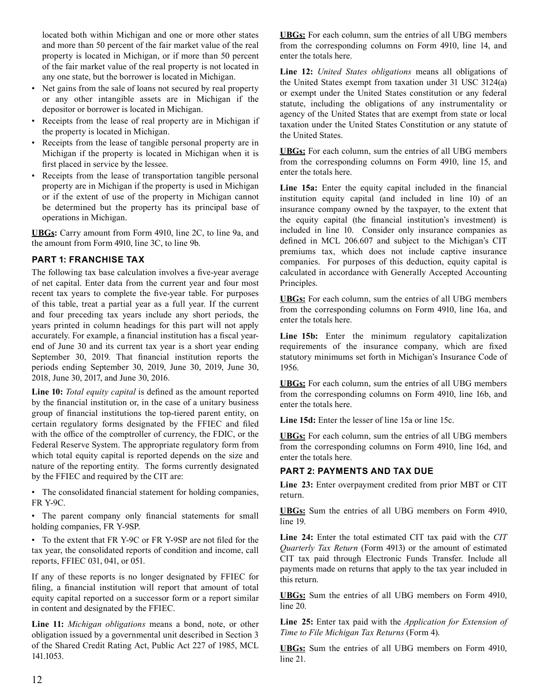located both within Michigan and one or more other states and more than 50 percent of the fair market value of the real property is located in Michigan, or if more than 50 percent of the fair market value of the real property is not located in any one state, but the borrower is located in Michigan.

- Net gains from the sale of loans not secured by real property or any other intangible assets are in Michigan if the depositor or borrower is located in Michigan.
- Receipts from the lease of real property are in Michigan if the property is located in Michigan.
- Receipts from the lease of tangible personal property are in Michigan if the property is located in Michigan when it is first placed in service by the lessee.
- Receipts from the lease of transportation tangible personal property are in Michigan if the property is used in Michigan or if the extent of use of the property in Michigan cannot be determined but the property has its principal base of operations in Michigan.

 **UBGs:** Carry amount from Form 4910, line 2C, to line 9a, and the amount from Form 4910, line 3C, to line 9b.

## **PART 1: FRANCHISE TAX**

 The following tax base calculation involves a five-year average of net capital. Enter data from the current year and four most recent tax years to complete the five-year table. For purposes of this table, treat a partial year as a full year. If the current and four preceding tax years include any short periods, the years printed in column headings for this part will not apply accurately. For example, a financial institution has a fiscal year- end of June 30 and its current tax year is a short year ending September 30, 2019. That financial institution reports the periods ending September 30, 2019, June 30, 2019, June 30, 2018, June 30, 2017, and June 30, 2016.

 **Line 10:** *Total equity capital* is defined as the amount reported by the financial institution or, in the case of a unitary business group of financial institutions the top-tiered parent entity, on certain regulatory forms designated by the FFIEC and filed with the office of the comptroller of currency, the FDIC, or the Federal Reserve System. The appropriate regulatory form from which total equity capital is reported depends on the size and nature of the reporting entity. The forms currently designated by the FFIEC and required by the CIT are:

 • The consolidated financial statement for holding companies, FR Y-9C.

 • The parent company only financial statements for small holding companies, FR Y-9SP.

 • To the extent that FR Y-9C or FR Y-9SP are not filed for the tax year, the consolidated reports of condition and income, call reports, FFIEC 031, 041, or 051.

 If any of these reports is no longer designated by FFIEC for filing, a financial institution will report that amount of total equity capital reported on a successor form or a report similar in content and designated by the FFIEC.

 **Line 11:** *Michigan obligations* means a bond, note, or other obligation issued by a governmental unit described in Section 3 of the Shared Credit Rating Act, Public Act 227 of 1985, MCL 141.1053.

 **UBGs:** For each column, sum the entries of all UBG members from the corresponding columns on Form 4910, line 14, and enter the totals here.

 **Line 12:** *United States obligations* means all obligations of the United States exempt from taxation under 31 USC 3124(a) or exempt under the United States constitution or any federal statute, including the obligations of any instrumentality or agency of the United States that are exempt from state or local taxation under the United States Constitution or any statute of the United States.

 **UBGs:** For each column, sum the entries of all UBG members from the corresponding columns on Form 4910, line 15, and enter the totals here.

 **Line 15a:** Enter the equity capital included in the financial institution equity capital (and included in line 10) of an insurance company owned by the taxpayer, to the extent that the equity capital (the financial institution's investment) is included in line 10. Consider only insurance companies as defined in MCL 206.607 and subject to the Michigan's CIT premiums tax, which does not include captive insurance companies. For purposes of this deduction, equity capital is calculated in accordance with Generally Accepted Accounting Principles.

 **UBGs:** For each column, sum the entries of all UBG members from the corresponding columns on Form 4910, line 16a, and enter the totals here.

 **Line 15b:** Enter the minimum regulatory capitalization requirements of the insurance company, which are fixed statutory minimums set forth in Michigan's Insurance Code of 1956.

 **UBGs:** For each column, sum the entries of all UBG members from the corresponding columns on Form 4910, line 16b, and enter the totals here.

 **Line 15d:** Enter the lesser of line 15a or line 15c.

 **UBGs:** For each column, sum the entries of all UBG members from the corresponding columns on Form 4910, line 16d, and enter the totals here.

## **PART 2: PAYMENTS AND TAX DUE**

 **Line 23:** Enter overpayment credited from prior MBT or CIT return.

 **UBGs:** Sum the entries of all UBG members on Form 4910, line 19.

 **Line 24:** Enter the total estimated CIT tax paid with the *CIT Quarterly Tax Return* (Form 4913) or the amount of estimated CIT tax paid through Electronic Funds Transfer. Include all payments made on returns that apply to the tax year included in this return.

 **UBGs:** Sum the entries of all UBG members on Form 4910, line 20.

 **Line 25:** Enter tax paid with the *Application for Extension of Time to File Michigan Tax Returns* (Form 4).

 **UBGs:** Sum the entries of all UBG members on Form 4910, line 21.